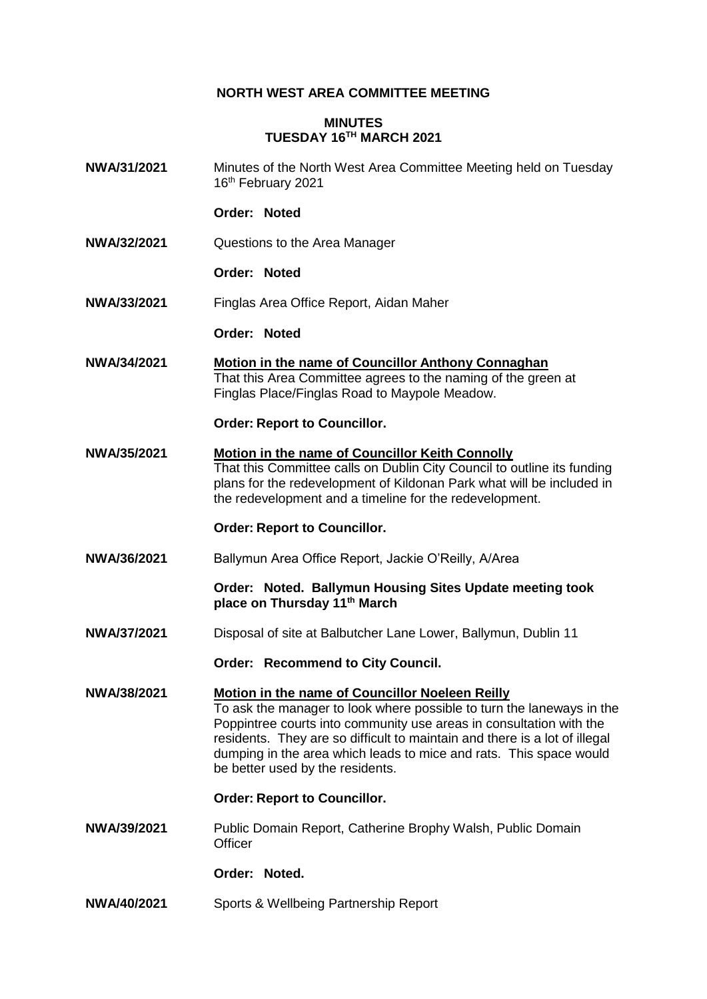# **NORTH WEST AREA COMMITTEE MEETING**

## **MINUTES TUESDAY 16TH MARCH 2021**

**NWA/31/2021** Minutes of the North West Area Committee Meeting held on Tuesday 16<sup>th</sup> February 2021

### **Order: Noted**

**NWA/32/2021** Questions to the Area Manager

### **Order: Noted**

**NWA/33/2021** Finglas Area Office Report, Aidan Maher

## **Order: Noted**

**NWA/34/2021 Motion in the name of Councillor Anthony Connaghan** That this Area Committee agrees to the naming of the green at Finglas Place/Finglas Road to Maypole Meadow.

### **Order: Report to Councillor.**

**NWA/35/2021 Motion in the name of Councillor Keith Connolly** That this Committee calls on Dublin City Council to outline its funding plans for the redevelopment of Kildonan Park what will be included in the redevelopment and a timeline for the redevelopment.

## **Order: Report to Councillor.**

**NWA/36/2021** Ballymun Area Office Report, Jackie O'Reilly, A/Area

**Order: Noted. Ballymun Housing Sites Update meeting took place on Thursday 11th March**

**NWA/37/2021** Disposal of site at Balbutcher Lane Lower, Ballymun, Dublin 11

## **Order: Recommend to City Council.**

**NWA/38/2021 Motion in the name of Councillor Noeleen Reilly** To ask the manager to look where possible to turn the laneways in the Poppintree courts into community use areas in consultation with the residents. They are so difficult to maintain and there is a lot of illegal dumping in the area which leads to mice and rats. This space would be better used by the residents.

### **Order: Report to Councillor.**

**NWA/39/2021** Public Domain Report, Catherine Brophy Walsh, Public Domain **Officer** 

#### **Order: Noted.**

**NWA/40/2021** Sports & Wellbeing Partnership Report